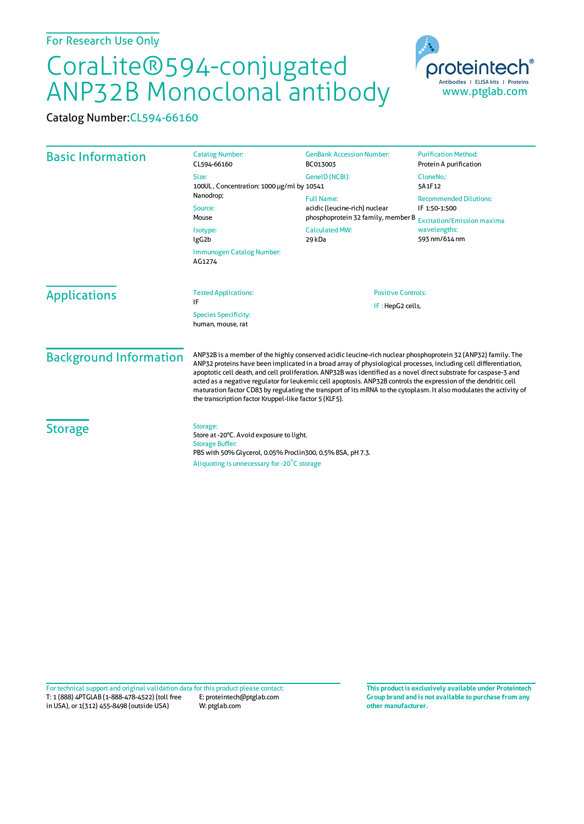## CoraLite®594-conjugated ANP32B Monoclonal antibody

Catalog Number:CL594-66160

| <b>Basic Information</b>      | <b>Catalog Number:</b><br>CL594-66160                                                                                                                                                                                                                                                                                                                                                                                                                                                                                                                                                                                                                    | <b>GenBank Accession Number:</b><br>BC013003                                                                                | <b>Purification Method:</b><br>Protein A purification                                                                |
|-------------------------------|----------------------------------------------------------------------------------------------------------------------------------------------------------------------------------------------------------------------------------------------------------------------------------------------------------------------------------------------------------------------------------------------------------------------------------------------------------------------------------------------------------------------------------------------------------------------------------------------------------------------------------------------------------|-----------------------------------------------------------------------------------------------------------------------------|----------------------------------------------------------------------------------------------------------------------|
|                               | Size:<br>100UL, Concentration: 1000 µg/ml by 10541                                                                                                                                                                                                                                                                                                                                                                                                                                                                                                                                                                                                       | GenelD (NCBI):                                                                                                              | CloneNo.:<br>5A1F12                                                                                                  |
|                               | Nanodrop;<br>Source:<br>Mouse<br>Isotype:<br>IgG <sub>2</sub> b                                                                                                                                                                                                                                                                                                                                                                                                                                                                                                                                                                                          | <b>Full Name:</b><br>acidic (leucine-rich) nuclear<br>phosphoprotein 32 family, member B<br><b>Calculated MW:</b><br>29 kDa | <b>Recommended Dilutions:</b><br>IF 1:50-1:500<br><b>Excitation/Emission maxima</b><br>wavelengths:<br>593 nm/614 nm |
|                               |                                                                                                                                                                                                                                                                                                                                                                                                                                                                                                                                                                                                                                                          |                                                                                                                             |                                                                                                                      |
|                               | <b>Applications</b>                                                                                                                                                                                                                                                                                                                                                                                                                                                                                                                                                                                                                                      | <b>Tested Applications:</b><br>IF<br><b>Species Specificity:</b><br>human, mouse, rat                                       | <b>Positive Controls:</b><br>IF: HepG2 cells,                                                                        |
| <b>Background Information</b> | ANP32B is a member of the highly conserved acidic leucine-rich nuclear phosphoprotein 32 (ANP32) family. The<br>ANP32 proteins have been implicated in a broad array of physiological processes, including cell differentiation,<br>apoptotic cell death, and cell proliferation. ANP32B was identified as a novel direct substrate for caspase-3 and<br>acted as a negative regulator for leukemic cell apoptosis. ANP32B controls the expression of the dendritic cell<br>maturation factor CD83 by regulating the transport of its mRNA to the cytoplasm. It also modulates the activity of<br>the transcription factor Kruppel-like factor 5 (KLF5). |                                                                                                                             |                                                                                                                      |
| <b>Storage</b>                | Storage:<br>Store at -20°C. Avoid exposure to light.<br><b>Storage Buffer:</b><br>PBS with 50% Glycerol, 0.05% Proclin300, 0.5% BSA, pH 7.3.<br>Aliquoting is unnecessary for -20°C storage                                                                                                                                                                                                                                                                                                                                                                                                                                                              |                                                                                                                             |                                                                                                                      |

T: 1 (888) 4PTGLAB (1-888-478-4522) (toll free in USA), or 1(312) 455-8498 (outside USA) E: proteintech@ptglab.com W: ptglab.com Fortechnical support and original validation data forthis product please contact: **This productis exclusively available under Proteintech**

**Group brand and is not available to purchase from any other manufacturer.**